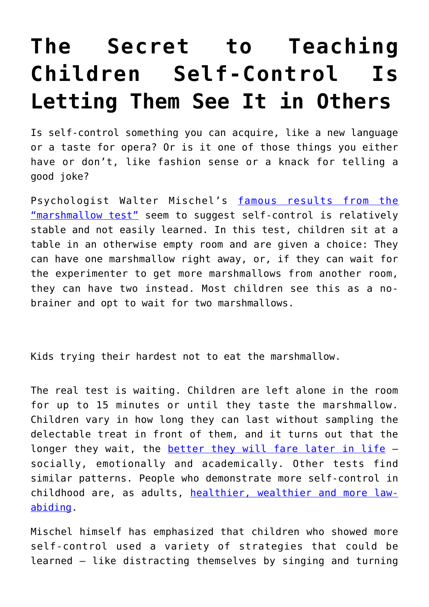## **[The Secret to Teaching](https://intellectualtakeout.org/2018/05/the-secret-to-teaching-children-self-control-is-letting-them-see-it-in-others/) [Children Self-Control Is](https://intellectualtakeout.org/2018/05/the-secret-to-teaching-children-self-control-is-letting-them-see-it-in-others/) [Letting Them See It in Others](https://intellectualtakeout.org/2018/05/the-secret-to-teaching-children-self-control-is-letting-them-see-it-in-others/)**

Is self-control something you can acquire, like a new language or a taste for opera? Or is it one of those things you either have or don't, like fashion sense or a knack for telling a good joke?

Psychologist Walter Mischel's [famous results from the](https://doi.org/10.1126/science.2658056) ["marshmallow test"](https://doi.org/10.1126/science.2658056) seem to suggest self-control is relatively stable and not easily learned. In this test, children sit at a table in an otherwise empty room and are given a choice: They can have one marshmallow right away, or, if they can wait for the experimenter to get more marshmallows from another room, they can have two instead. Most children see this as a nobrainer and opt to wait for two marshmallows.

Kids trying their hardest not to eat the marshmallow.

The real test is waiting. Children are left alone in the room for up to 15 minutes or until they taste the marshmallow. Children vary in how long they can last without sampling the delectable treat in front of them, and it turns out that the longer they wait, the **[better they will fare later in life](https://doi.org/10.1126/science.2658056)** socially, emotionally and academically. Other tests find similar patterns. People who demonstrate more self-control in childhood are, as adults, [healthier, wealthier and more law](https://doi.org/10.1073/pnas.1010076108)[abiding](https://doi.org/10.1073/pnas.1010076108).

Mischel himself has emphasized that children who showed more self-control used a variety of strategies that could be learned – like distracting themselves by singing and turning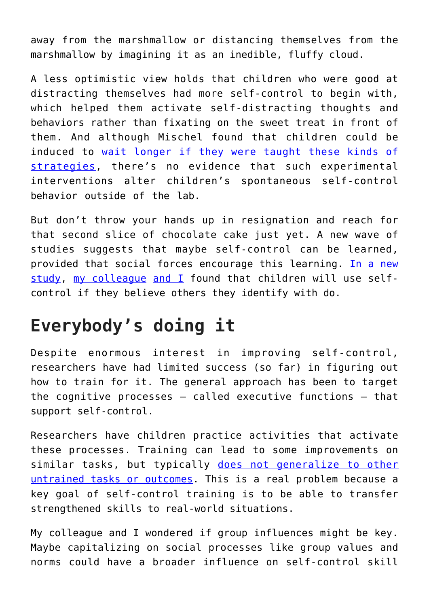away from the marshmallow or distancing themselves from the marshmallow by imagining it as an inedible, fluffy cloud.

A less optimistic view holds that children who were good at distracting themselves had more self-control to begin with, which helped them activate self-distracting thoughts and behaviors rather than fixating on the sweet treat in front of them. And although Mischel found that children could be induced to [wait longer if they were taught these kinds of](http://dx.doi.org/10.1037/h0076272) [strategies,](http://dx.doi.org/10.1037/h0076272) there's no evidence that such experimental interventions alter children's spontaneous self-control behavior outside of the lab.

But don't throw your hands up in resignation and reach for that second slice of chocolate cake just yet. A new wave of studies suggests that maybe self-control can be learned, provided that social forces encourage this learning. [In a new](https://doi.org/10.1177/0956797617747367) [study,](https://doi.org/10.1177/0956797617747367) [my colleague](https://scholar.google.com/citations?user=o-6sJAcAAAAJ&hl=en&oi=ao) [and I](https://scholar.google.com/citations?user=75UfqO0AAAAJ&hl=en&oi=ao) found that children will use selfcontrol if they believe others they identify with do.

## **Everybody's doing it**

Despite enormous interest in improving self-control, researchers have had limited success (so far) in figuring out how to train for it. The general approach has been to target the cognitive processes – called executive functions – that support self-control.

Researchers have children practice activities that activate these processes. Training can lead to some improvements on similar tasks, but typically [does not generalize to other](https://doi.org/10.1111/j.1467-7687.2008.00745.x) [untrained tasks or outcomes.](https://doi.org/10.1111/j.1467-7687.2008.00745.x) This is a real problem because a key goal of self-control training is to be able to transfer strengthened skills to real-world situations.

My colleague and I wondered if group influences might be key. Maybe capitalizing on social processes like group values and norms could have a broader influence on self-control skill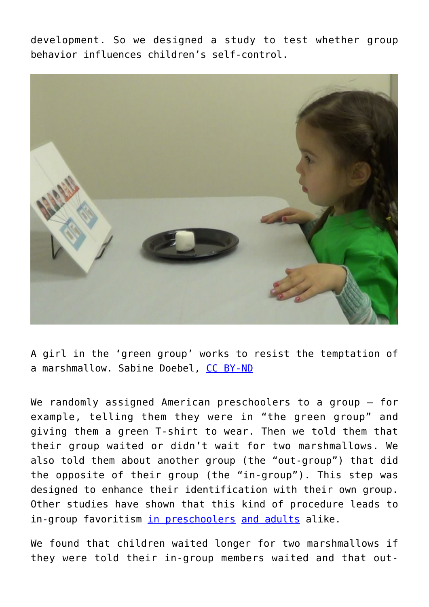development. So we designed a study to test whether group behavior influences children's self-control.



A girl in the 'green group' works to resist the temptation of a marshmallow. Sabine Doebel, [CC BY-ND](http://creativecommons.org/licenses/by-nd/4.0/)

We randomly assigned American preschoolers to a group - for example, telling them they were in "the green group" and giving them a green T-shirt to wear. Then we told them that their group waited or didn't wait for two marshmallows. We also told them about another group (the "out-group") that did the opposite of their group (the "in-group"). This step was designed to enhance their identification with their own group. Other studies have shown that this kind of procedure leads to in-group favoritism [in preschoolers](https://doi.org/10.1111/j.1467-8624.2011.01577.x) [and adults](https://doi.org/10.1002/ejsp.2420030103) alike.

We found that children waited longer for two marshmallows if they were told their in-group members waited and that out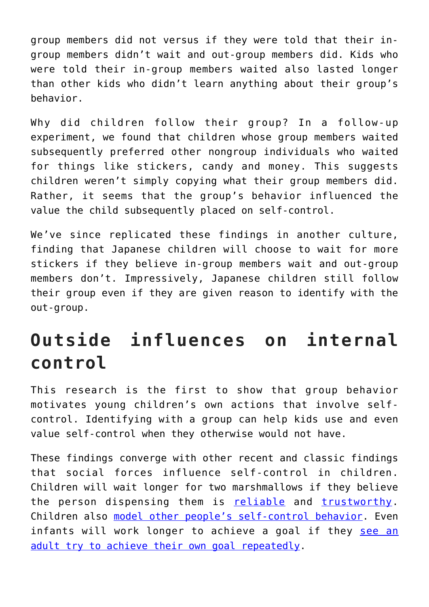group members did not versus if they were told that their ingroup members didn't wait and out-group members did. Kids who were told their in-group members waited also lasted longer than other kids who didn't learn anything about their group's behavior.

Why did children follow their group? In a follow-up experiment, we found that children whose group members waited subsequently preferred other nongroup individuals who waited for things like stickers, candy and money. This suggests children weren't simply copying what their group members did. Rather, it seems that the group's behavior influenced the value the child subsequently placed on self-control.

We've since replicated these findings in another culture, finding that Japanese children will choose to wait for more stickers if they believe in-group members wait and out-group members don't. Impressively, Japanese children still follow their group even if they are given reason to identify with the out-group.

## **Outside influences on internal control**

This research is the first to show that group behavior motivates young children's own actions that involve selfcontrol. Identifying with a group can help kids use and even value self-control when they otherwise would not have.

These findings converge with other recent and classic findings that social forces influence self-control in children. Children will wait longer for two marshmallows if they believe the person dispensing them is [reliable](https://doi.org/10.1016/j.cognition.2012.08.004) and [trustworthy.](https://doi.org/10.1111/desc.12388) Children also [model other people's self-control behavior](http://dx.doi.org/10.1037/h0022655). Even infants will work longer to achieve a goal if they [see an](https://theconversation.com/babies-can-learn-the-value-of-persistence-by-watching-grownups-stick-with-a-challenge-84327) [adult try to achieve their own goal repeatedly](https://theconversation.com/babies-can-learn-the-value-of-persistence-by-watching-grownups-stick-with-a-challenge-84327).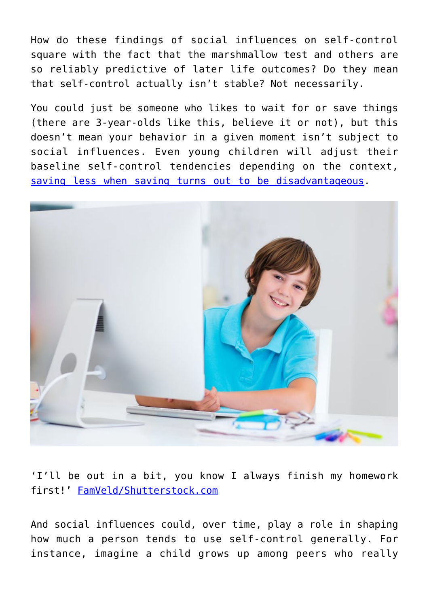How do these findings of social influences on self-control square with the fact that the marshmallow test and others are so reliably predictive of later life outcomes? Do they mean that self-control actually isn't stable? Not necessarily.

You could just be someone who likes to wait for or save things (there are 3-year-olds like this, believe it or not), but this doesn't mean your behavior in a given moment isn't subject to social influences. Even young children will adjust their baseline self-control tendencies depending on the context, [saving less when saving turns out to be disadvantageous.](https://doi.org/10.1111/cdev.12401)



'I'll be out in a bit, you know I always finish my homework first!' [FamVeld/Shutterstock.com](https://www.shutterstock.com/image-photo/school-boy-working-on-personal-computer-390440224)

And social influences could, over time, play a role in shaping how much a person tends to use self-control generally. For instance, imagine a child grows up among peers who really